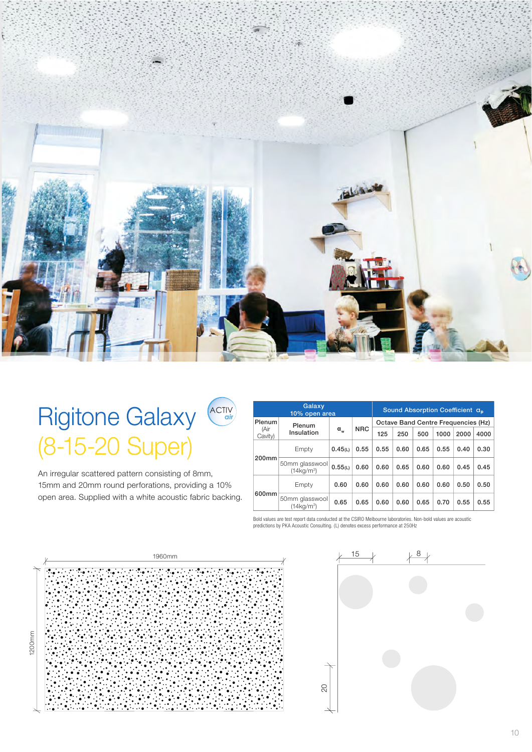

# Rigitone Galaxy (8-15-20 Super)

An irregular scattered pattern consisting of 8mm, 15mm and 20mm round perforations, providing a 10% open area. Supplied with a white acoustic fabric backing.

| Galaxy<br>10% open area |                                                      |              |            | Sound Absorption Coefficient a <sub>n</sub> |      |      |      |      |      |
|-------------------------|------------------------------------------------------|--------------|------------|---------------------------------------------|------|------|------|------|------|
| Plenum                  | Plenum<br>Insulation                                 | $\alpha_{w}$ | <b>NRC</b> | Octave Band Centre Frequencies (Hz)         |      |      |      |      |      |
| (Air<br>Cavity)         |                                                      |              |            | 125                                         | 250  | 500  | 1000 | 2000 | 4000 |
| 200mm                   | Empty                                                | 0.45(L)      | 0.55       | 0.55                                        | 0.60 | 0.65 | 0.55 | 0.40 | 0.30 |
|                         | 50mm glasswool<br>(14 <sub>ka/m</sub> <sup>3</sup> ) | 0.55(L)      | 0.60       | 0.60                                        | 0.65 | 0.60 | 0.60 | 0.45 | 0.45 |
| 600mm                   | Empty                                                | 0.60         | 0.60       | 0.60                                        | 0.60 | 0.60 | 0.60 | 0.50 | 0.50 |
|                         | 50mm glasswool<br>$(14 \text{kg/m}^3)$               | 0.65         | 0.65       | 0.60                                        | 0.60 | 0.65 | 0.70 | 0.55 | 0.55 |

Bold values are test report data conducted at the CSIRO Melbourne laboratories. Non-bold values are acoustic predictions by PKA Acoustic Consulting. (L) denotes excess performance at 250Hz